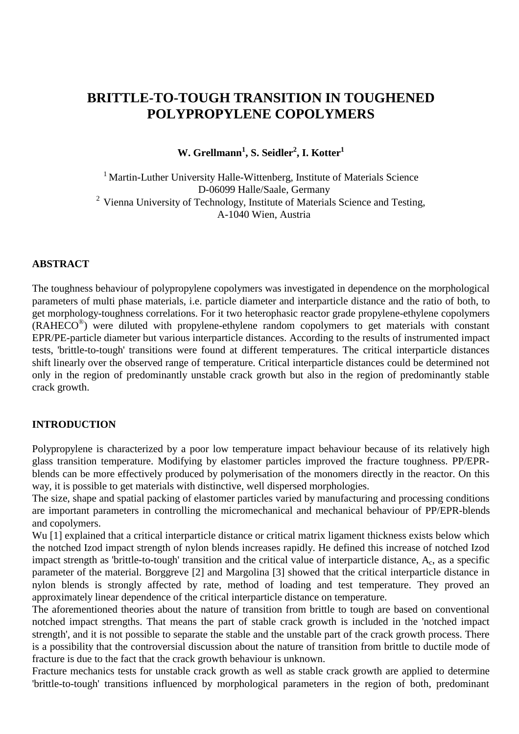# **BRITTLE-TO-TOUGH TRANSITION IN TOUGHENED POLYPROPYLENE COPOLYMERS**

 $\textbf{W}.$  Grellmann<sup>1</sup>, S. Seidler<sup>2</sup>, I. Kotter<sup>1</sup>

<sup>1</sup> Martin-Luther University Halle-Wittenberg, Institute of Materials Science D-06099 Halle/Saale, Germany 2 Vienna University of Technology, Institute of Materials Science and Testing, A-1040 Wien, Austria

#### **ABSTRACT**

The toughness behaviour of polypropylene copolymers was investigated in dependence on the morphological parameters of multi phase materials, i.e. particle diameter and interparticle distance and the ratio of both, to get morphology-toughness correlations. For it two heterophasic reactor grade propylene-ethylene copolymers  $(RAHECO<sup>®</sup>)$  were diluted with propylene-ethylene random copolymers to get materials with constant EPR/PE-particle diameter but various interparticle distances. According to the results of instrumented impact tests, 'brittle-to-tough' transitions were found at different temperatures. The critical interparticle distances shift linearly over the observed range of temperature. Critical interparticle distances could be determined not only in the region of predominantly unstable crack growth but also in the region of predominantly stable crack growth.

### **INTRODUCTION**

Polypropylene is characterized by a poor low temperature impact behaviour because of its relatively high glass transition temperature. Modifying by elastomer particles improved the fracture toughness. PP/EPRblends can be more effectively produced by polymerisation of the monomers directly in the reactor. On this way, it is possible to get materials with distinctive, well dispersed morphologies.

The size, shape and spatial packing of elastomer particles varied by manufacturing and processing conditions are important parameters in controlling the micromechanical and mechanical behaviour of PP/EPR-blends and copolymers.

Wu [1] explained that a critical interparticle distance or critical matrix ligament thickness exists below which the notched Izod impact strength of nylon blends increases rapidly. He defined this increase of notched Izod impact strength as 'brittle-to-tough' transition and the critical value of interparticle distance,  $A_c$ , as a specific parameter of the material. Borggreve [2] and Margolina [3] showed that the critical interparticle distance in nylon blends is strongly affected by rate, method of loading and test temperature. They proved an approximately linear dependence of the critical interparticle distance on temperature.

The aforementioned theories about the nature of transition from brittle to tough are based on conventional notched impact strengths. That means the part of stable crack growth is included in the 'notched impact strength', and it is not possible to separate the stable and the unstable part of the crack growth process. There is a possibility that the controversial discussion about the nature of transition from brittle to ductile mode of fracture is due to the fact that the crack growth behaviour is unknown.

Fracture mechanics tests for unstable crack growth as well as stable crack growth are applied to determine 'brittle-to-tough' transitions influenced by morphological parameters in the region of both, predominant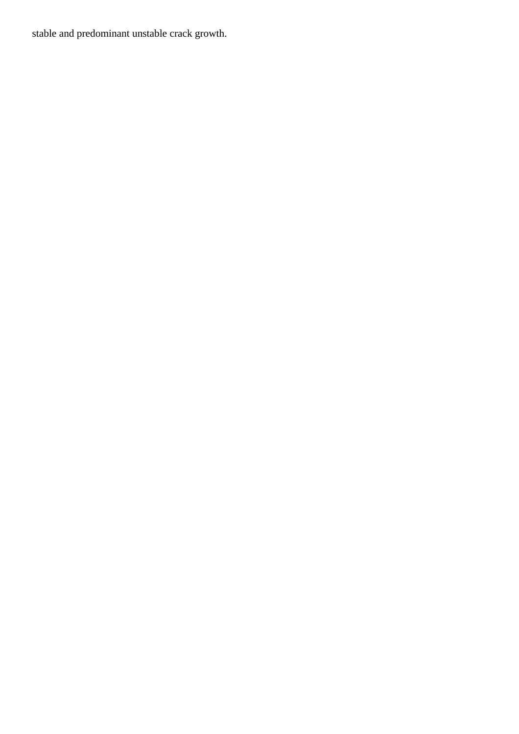stable and predominant unstable crack growth.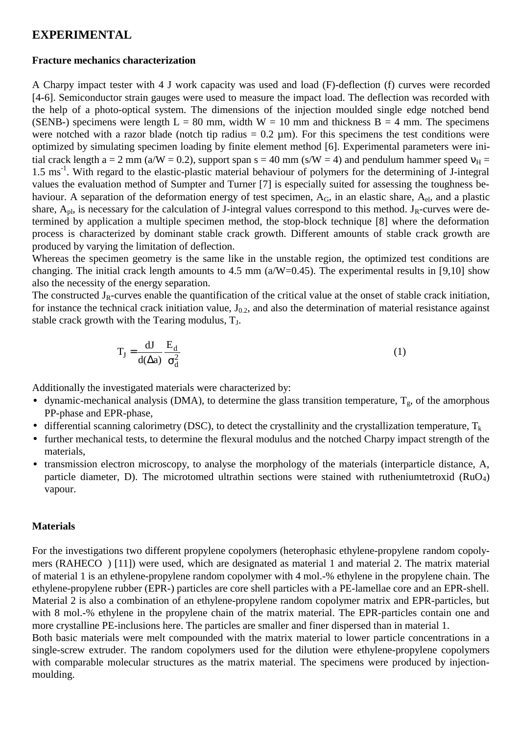### **EXPERIMENTAL**

#### **Fracture mechanics characterization**

A Charpy impact tester with 4 J work capacity was used and load (F)-deflection (f) curves were recorded [4-6]. Semiconductor strain gauges were used to measure the impact load. The deflection was recorded with the help of a photo-optical system. The dimensions of the injection moulded single edge notched bend (SENB-) specimens were length  $L = 80$  mm, width  $W = 10$  mm and thickness  $B = 4$  mm. The specimens were notched with a razor blade (notch tip radius  $= 0.2 \mu m$ ). For this specimens the test conditions were optimized by simulating specimen loading by finite element method [6]. Experimental parameters were initial crack length a = 2 mm (a/W = 0.2), support span s = 40 mm (s/W = 4) and pendulum hammer speed  $v<sub>H</sub>$  = 1.5 ms<sup>-1</sup>. With regard to the elastic-plastic material behaviour of polymers for the determining of J-integral values the evaluation method of Sumpter and Turner [7] is especially suited for assessing the toughness behaviour. A separation of the deformation energy of test specimen,  $A_G$ , in an elastic share,  $A_{el}$ , and a plastic share,  $A_{\text{nl}}$ , is necessary for the calculation of J-integral values correspond to this method. J<sub>R</sub>-curves were determined by application a multiple specimen method, the stop-block technique [8] where the deformation process is characterized by dominant stable crack growth. Different amounts of stable crack growth are produced by varying the limitation of deflection.

Whereas the specimen geometry is the same like in the unstable region, the optimized test conditions are changing. The initial crack length amounts to 4.5 mm  $(a/W=0.45)$ . The experimental results in [9,10] show also the necessity of the energy separation.

The constructed  $J_R$ -curves enable the quantification of the critical value at the onset of stable crack initiation, for instance the technical crack initiation value,  $J_{0.2}$ , and also the determination of material resistance against stable crack growth with the Tearing modulus,  $T<sub>J</sub>$ .

$$
T_J = \frac{dJ}{d(\Delta a)} \frac{E_d}{\sigma_d^2}
$$
 (1)

Additionally the investigated materials were characterized by:

- dynamic-mechanical analysis (DMA), to determine the glass transition temperature,  $T_g$ , of the amorphous PP-phase and EPR-phase,
- differential scanning calorimetry (DSC), to detect the crystallinity and the crystallization temperature,  $T_k$
- further mechanical tests, to determine the flexural modulus and the notched Charpy impact strength of the materials,
- transmission electron microscopy, to analyse the morphology of the materials (interparticle distance, A, particle diameter, D). The microtomed ultrathin sections were stained with rutheniumtetroxid ( $RuO<sub>4</sub>$ ) vapour.

#### **Materials**

For the investigations two different propylene copolymers (heterophasic ethylene-propylene random copolymers (RAHECO<sup>®</sup>) [11]) were used, which are designated as material 1 and material 2. The matrix material of material 1 is an ethylene-propylene random copolymer with 4 mol.-% ethylene in the propylene chain. The ethylene-propylene rubber (EPR-) particles are core shell particles with a PE-lamellae core and an EPR-shell. Material 2 is also a combination of an ethylene-propylene random copolymer matrix and EPR-particles, but with 8 mol.-% ethylene in the propylene chain of the matrix material. The EPR-particles contain one and more crystalline PE-inclusions here. The particles are smaller and finer dispersed than in material 1.

Both basic materials were melt compounded with the matrix material to lower particle concentrations in a single-screw extruder. The random copolymers used for the dilution were ethylene-propylene copolymers with comparable molecular structures as the matrix material. The specimens were produced by injectionmoulding.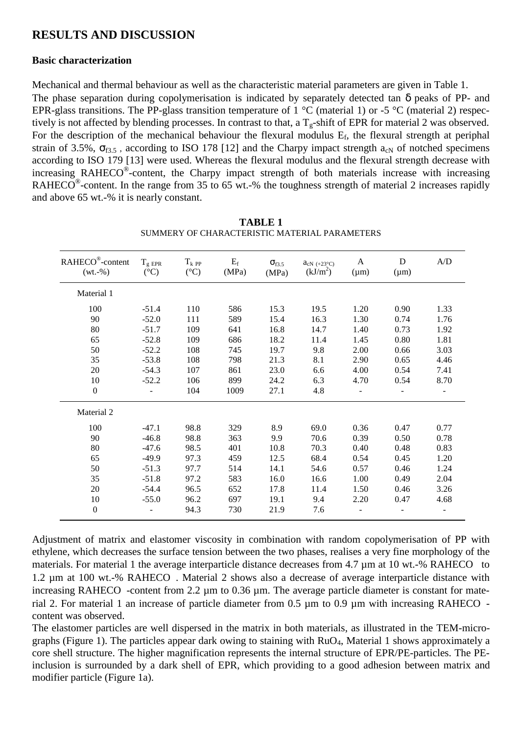## **RESULTS AND DISCUSSION**

### **Basic characterization**

Mechanical and thermal behaviour as well as the characteristic material parameters are given in Table 1. The phase separation during copolymerisation is indicated by separately detected tan δ peaks of PP- and EPR-glass transitions. The PP-glass transition temperature of 1  $^{\circ}$ C (material 1) or -5  $^{\circ}$ C (material 2) respectively is not affected by blending processes. In contrast to that, a  $T_g$ -shift of EPR for material 2 was observed. For the description of the mechanical behaviour the flexural modulus  $E_f$ , the flexural strength at periphal strain of 3.5%,  $\sigma_{f3.5}$ , according to ISO 178 [12] and the Charpy impact strength  $a_{cN}$  of notched specimens according to ISO 179 [13] were used. Whereas the flexural modulus and the flexural strength decrease with increasing RAHECO<sup>®</sup>-content, the Charpy impact strength of both materials increase with increasing RAHECO<sup>®</sup>-content. In the range from 35 to 65 wt.-% the toughness strength of material 2 increases rapidly and above 65 wt.-% it is nearly constant.

| RAHECO <sup>®</sup> -content<br>$(wt.-\%)$ | $T_{\rm g\ EPR}$<br>$({}^{\circ}C)$ | $T_k$ pp<br>$({}^{\circ}C)$ | $\mathbf{E}_\mathrm{f}$<br>(MPa) | $\sigma_{f3.5}$<br>(MPa) | $a_{cN}$ (+23°C)<br>(kJ/m <sup>2</sup> ) | A<br>$(\mu m)$ | D<br>$(\mu m)$ | A/D                      |
|--------------------------------------------|-------------------------------------|-----------------------------|----------------------------------|--------------------------|------------------------------------------|----------------|----------------|--------------------------|
| Material 1                                 |                                     |                             |                                  |                          |                                          |                |                |                          |
| 100                                        | $-51.4$                             | 110                         | 586                              | 15.3                     | 19.5                                     | 1.20           | 0.90           | 1.33                     |
| 90                                         | $-52.0$                             | 111                         | 589                              | 15.4                     | 16.3                                     | 1.30           | 0.74           | 1.76                     |
| 80                                         | $-51.7$                             | 109                         | 641                              | 16.8                     | 14.7                                     | 1.40           | 0.73           | 1.92                     |
| 65                                         | $-52.8$                             | 109                         | 686                              | 18.2                     | 11.4                                     | 1.45           | 0.80           | 1.81                     |
| 50                                         | $-52.2$                             | 108                         | 745                              | 19.7                     | 9.8                                      | 2.00           | 0.66           | 3.03                     |
| 35                                         | $-53.8$                             | 108                         | 798                              | 21.3                     | 8.1                                      | 2.90           | 0.65           | 4.46                     |
| 20                                         | $-54.3$                             | 107                         | 861                              | 23.0                     | 6.6                                      | 4.00           | 0.54           | 7.41                     |
| 10                                         | $-52.2$                             | 106                         | 899                              | 24.2                     | 6.3                                      | 4.70           | 0.54           | 8.70                     |
| $\boldsymbol{0}$                           |                                     | 104                         | 1009                             | 27.1                     | 4.8                                      |                |                |                          |
| Material 2                                 |                                     |                             |                                  |                          |                                          |                |                |                          |
| 100                                        | $-47.1$                             | 98.8                        | 329                              | 8.9                      | 69.0                                     | 0.36           | 0.47           | 0.77                     |
| 90                                         | $-46.8$                             | 98.8                        | 363                              | 9.9                      | 70.6                                     | 0.39           | 0.50           | 0.78                     |
| 80                                         | $-47.6$                             | 98.5                        | 401                              | 10.8                     | 70.3                                     | 0.40           | 0.48           | 0.83                     |
| 65                                         | $-49.9$                             | 97.3                        | 459                              | 12.5                     | 68.4                                     | 0.54           | 0.45           | 1.20                     |
| 50                                         | $-51.3$                             | 97.7                        | 514                              | 14.1                     | 54.6                                     | 0.57           | 0.46           | 1.24                     |
| 35                                         | $-51.8$                             | 97.2                        | 583                              | 16.0                     | 16.6                                     | 1.00           | 0.49           | 2.04                     |
| 20                                         | $-54.4$                             | 96.5                        | 652                              | 17.8                     | 11.4                                     | 1.50           | 0.46           | 3.26                     |
| 10                                         | $-55.0$                             | 96.2                        | 697                              | 19.1                     | 9.4                                      | 2.20           | 0.47           | 4.68                     |
| $\boldsymbol{0}$                           |                                     | 94.3                        | 730                              | 21.9                     | 7.6                                      |                |                | $\overline{\phantom{a}}$ |

**TABLE 1** SUMMERY OF CHARACTERISTIC MATERIAL PARAMETERS

Adjustment of matrix and elastomer viscosity in combination with random copolymerisation of PP with ethylene, which decreases the surface tension between the two phases, realises a very fine morphology of the materials. For material 1 the average interparticle distance decreases from 4.7  $\mu$ m at 10 wt.-% RAHECO<sup>®</sup> to 1.2  $\mu$ m at 100 wt.-% RAHECO<sup>®</sup>. Material 2 shows also a decrease of average interparticle distance with increasing RAHECO $^{\circ}$ -content from 2.2 µm to 0.36 µm. The average particle diameter is constant for material 2. For material 1 an increase of particle diameter from 0.5  $\mu$ m to 0.9  $\mu$ m with increasing RAHECO<sup>®</sup>content was observed.

The elastomer particles are well dispersed in the matrix in both materials, as illustrated in the TEM-micrographs (Figure 1). The particles appear dark owing to staining with RuO4, Material 1 shows approximately a core shell structure. The higher magnification represents the internal structure of EPR/PE-particles. The PEinclusion is surrounded by a dark shell of EPR, which providing to a good adhesion between matrix and modifier particle (Figure 1a).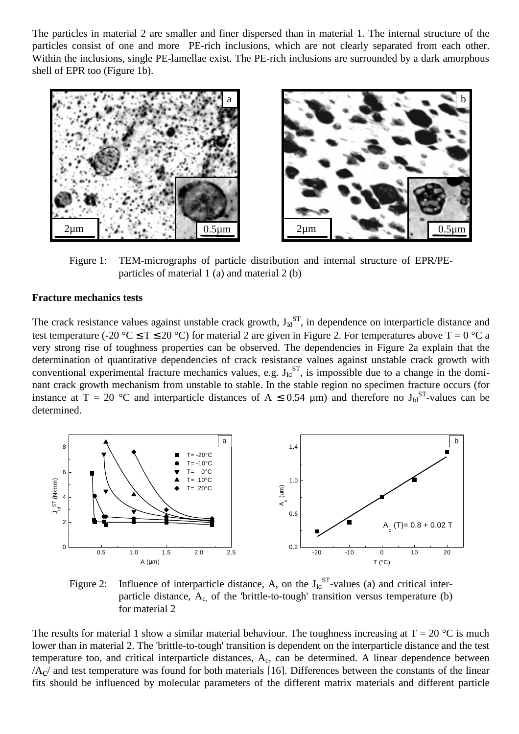The particles in material 2 are smaller and finer dispersed than in material 1. The internal structure of the particles consist of one and more PE-rich inclusions, which are not clearly separated from each other. Within the inclusions, single PE-lamellae exist. The PE-rich inclusions are surrounded by a dark amorphous shell of EPR too (Figure 1b).



Figure 1: TEM-micrographs of particle distribution and internal structure of EPR/PEparticles of material 1 (a) and material 2 (b)

#### **Fracture mechanics tests**

The crack resistance values against unstable crack growth,  $J_{Id}^{ST}$ , in dependence on interparticle distance and test temperature (-20 °C  $\leq$  T  $\leq$  20 °C) for material 2 are given in Figure 2. For temperatures above T = 0 °C a very strong rise of toughness properties can be observed. The dependencies in Figure 2a explain that the determination of quantitative dependencies of crack resistance values against unstable crack growth with conventional experimental fracture mechanics values, e.g.  $J_{ld}^{ST}$ , is impossible due to a change in the dominant crack growth mechanism from unstable to stable. In the stable region no specimen fracture occurs (for instance at T = 20 °C and interparticle distances of A  $\leq$  0.54 µm) and therefore no J<sub>Id</sub><sup>ST</sup>-values can be determined.



Figure 2: Influence of interparticle distance, A, on the  $J_{Id}^{ST}$ -values (a) and critical interparticle distance,  $A_c$  of the 'brittle-to-tough' transition versus temperature (b) for material 2

The results for material 1 show a similar material behaviour. The toughness increasing at  $T = 20$  °C is much lower than in material 2. The 'brittle-to-tough' transition is dependent on the interparticle distance and the test temperature too, and critical interparticle distances, Ac, can be determined. A linear dependence between  $/A<sub>c</sub>$  and test temperature was found for both materials [16]. Differences between the constants of the linear fits should be influenced by molecular parameters of the different matrix materials and different particle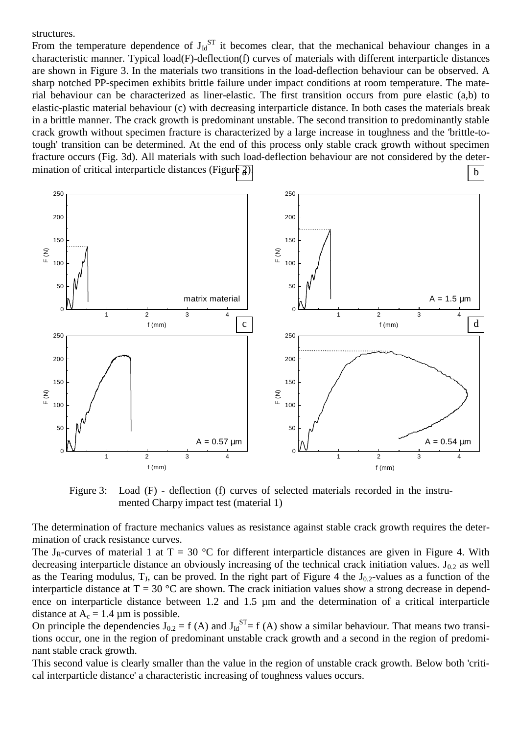structures.

From the temperature dependence of  $J_{ld}^{ST}$  it becomes clear, that the mechanical behaviour changes in a characteristic manner. Typical load(F)-deflection(f) curves of materials with different interparticle distances are shown in Figure 3. In the materials two transitions in the load-deflection behaviour can be observed. A sharp notched PP-specimen exhibits brittle failure under impact conditions at room temperature. The material behaviour can be characterized as liner-elastic. The first transition occurs from pure elastic (a,b) to elastic-plastic material behaviour (c) with decreasing interparticle distance. In both cases the materials break in a brittle manner. The crack growth is predominant unstable. The second transition to predominantly stable crack growth without specimen fracture is characterized by a large increase in toughness and the 'brittle-totough' transition can be determined. At the end of this process only stable crack growth without specimen fracture occurs (Fig. 3d). All materials with such load-deflection behaviour are not considered by the determination of critical interparticle distances (Figure  $\frac{2}{3}$ ).  $\begin{array}{c|c|c|c|c} \mathbf{a} & \mathbf{b} \end{array}$ 



Figure 3: Load (F) - deflection (f) curves of selected materials recorded in the instrumented Charpy impact test (material 1)

The determination of fracture mechanics values as resistance against stable crack growth requires the determination of crack resistance curves.

The J<sub>R</sub>-curves of material 1 at  $T = 30$  °C for different interparticle distances are given in Figure 4. With decreasing interparticle distance an obviously increasing of the technical crack initiation values.  $J_{0.2}$  as well as the Tearing modulus,  $T_J$ , can be proved. In the right part of Figure 4 the  $J_{0.2}$ -values as a function of the interparticle distance at  $T = 30$  °C are shown. The crack initiation values show a strong decrease in dependence on interparticle distance between 1.2 and 1.5 µm and the determination of a critical interparticle distance at  $A_c = 1.4 \mu m$  is possible.

On principle the dependencies  $J_{0,2} = f(A)$  and  $J_{Id}^{ST} = f(A)$  show a similar behaviour. That means two transitions occur, one in the region of predominant unstable crack growth and a second in the region of predominant stable crack growth.

This second value is clearly smaller than the value in the region of unstable crack growth. Below both 'critical interparticle distance' a characteristic increasing of toughness values occurs.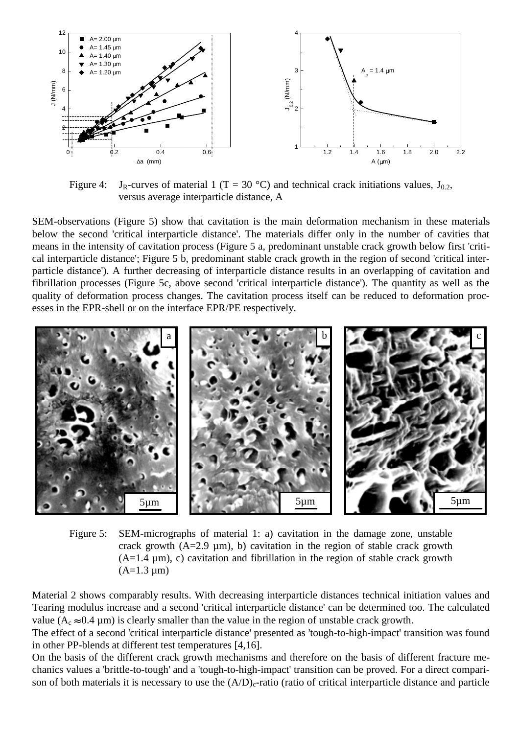

Figure 4: J<sub>R</sub>-curves of material 1 (T = 30 °C) and technical crack initiations values, J<sub>0.2</sub>, versus average interparticle distance, A

SEM-observations (Figure 5) show that cavitation is the main deformation mechanism in these materials below the second 'critical interparticle distance'. The materials differ only in the number of cavities that means in the intensity of cavitation process (Figure 5 a, predominant unstable crack growth below first 'critical interparticle distance'; Figure 5 b, predominant stable crack growth in the region of second 'critical interparticle distance'). A further decreasing of interparticle distance results in an overlapping of cavitation and fibrillation processes (Figure 5c, above second 'critical interparticle distance'). The quantity as well as the quality of deformation process changes. The cavitation process itself can be reduced to deformation processes in the EPR-shell or on the interface EPR/PE respectively.



Figure 5: SEM-micrographs of material 1: a) cavitation in the damage zone, unstable crack growth  $(A=2.9 \mu m)$ , b) cavitation in the region of stable crack growth  $(A=1.4 \mu m)$ , c) cavitation and fibrillation in the region of stable crack growth  $(A=1.3 \mu m)$ 

Material 2 shows comparably results. With decreasing interparticle distances technical initiation values and Tearing modulus increase and a second 'critical interparticle distance' can be determined too. The calculated value ( $A_c \approx 0.4 \mu m$ ) is clearly smaller than the value in the region of unstable crack growth.

The effect of a second 'critical interparticle distance' presented as 'tough-to-high-impact' transition was found in other PP-blends at different test temperatures [4,16].

On the basis of the different crack growth mechanisms and therefore on the basis of different fracture mechanics values a 'brittle-to-tough' and a 'tough-to-high-impact' transition can be proved. For a direct comparison of both materials it is necessary to use the  $(A/D)<sub>c</sub>$ -ratio (ratio of critical interparticle distance and particle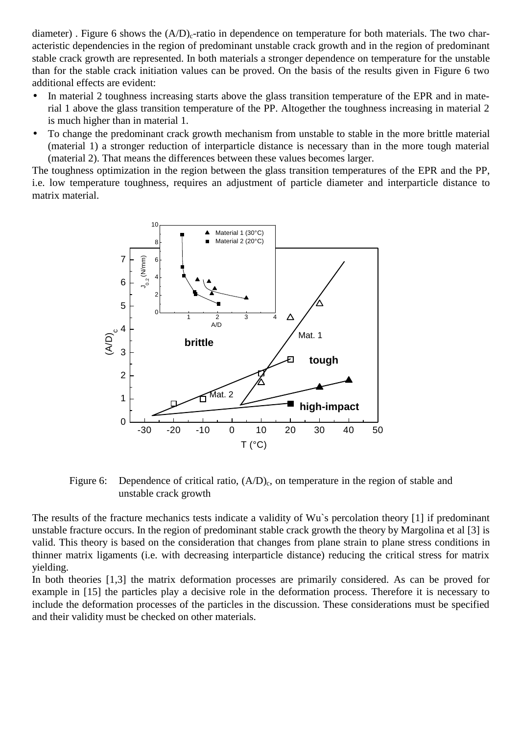diameter). Figure 6 shows the  $(A/D)<sub>c</sub>$ -ratio in dependence on temperature for both materials. The two characteristic dependencies in the region of predominant unstable crack growth and in the region of predominant stable crack growth are represented. In both materials a stronger dependence on temperature for the unstable than for the stable crack initiation values can be proved. On the basis of the results given in Figure 6 two additional effects are evident:

- In material 2 toughness increasing starts above the glass transition temperature of the EPR and in material 1 above the glass transition temperature of the PP. Altogether the toughness increasing in material 2 is much higher than in material 1.
- To change the predominant crack growth mechanism from unstable to stable in the more brittle material (material 1) a stronger reduction of interparticle distance is necessary than in the more tough material (material 2). That means the differences between these values becomes larger.

The toughness optimization in the region between the glass transition temperatures of the EPR and the PP, i.e. low temperature toughness, requires an adjustment of particle diameter and interparticle distance to matrix material.



Figure 6: Dependence of critical ratio,  $(A/D)<sub>c</sub>$ , on temperature in the region of stable and unstable crack growth

The results of the fracture mechanics tests indicate a validity of Wu`s percolation theory [1] if predominant unstable fracture occurs. In the region of predominant stable crack growth the theory by Margolina et al [3] is valid. This theory is based on the consideration that changes from plane strain to plane stress conditions in thinner matrix ligaments (i.e. with decreasing interparticle distance) reducing the critical stress for matrix yielding.

In both theories [1,3] the matrix deformation processes are primarily considered. As can be proved for example in [15] the particles play a decisive role in the deformation process. Therefore it is necessary to include the deformation processes of the particles in the discussion. These considerations must be specified and their validity must be checked on other materials.